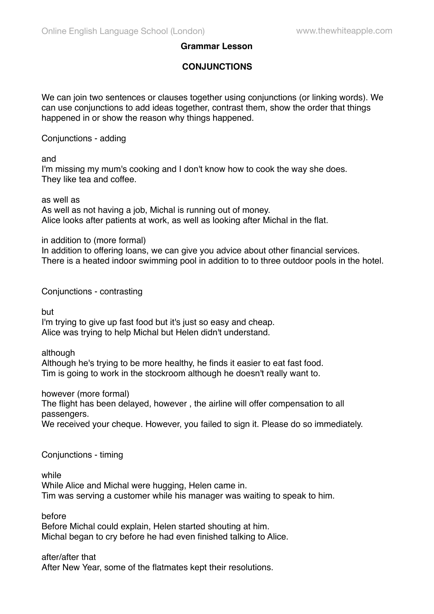## **Grammar Lesson**

# **CONJUNCTIONS**

We can join two sentences or clauses together using conjunctions (or linking words). We can use conjunctions to add ideas together, contrast them, show the order that things happened in or show the reason why things happened.

Conjunctions - adding

#### and

I'm missing my mum's cooking and I don't know how to cook the way she does. They like tea and coffee.

### as well as

As well as not having a job, Michal is running out of money. Alice looks after patients at work, as well as looking after Michal in the flat.

in addition to (more formal)

In addition to offering loans, we can give you advice about other financial services. There is a heated indoor swimming pool in addition to to three outdoor pools in the hotel.

Conjunctions - contrasting

but

I'm trying to give up fast food but it's just so easy and cheap. Alice was trying to help Michal but Helen didn't understand.

## although

Although he's trying to be more healthy, he finds it easier to eat fast food. Tim is going to work in the stockroom although he doesn't really want to.

however (more formal)

The flight has been delayed, however , the airline will offer compensation to all passengers.

We received your cheque. However, you failed to sign it. Please do so immediately.

Conjunctions - timing

while

While Alice and Michal were hugging, Helen came in. Tim was serving a customer while his manager was waiting to speak to him.

before

Before Michal could explain, Helen started shouting at him. Michal began to cry before he had even finished talking to Alice.

## after/after that

After New Year, some of the flatmates kept their resolutions.